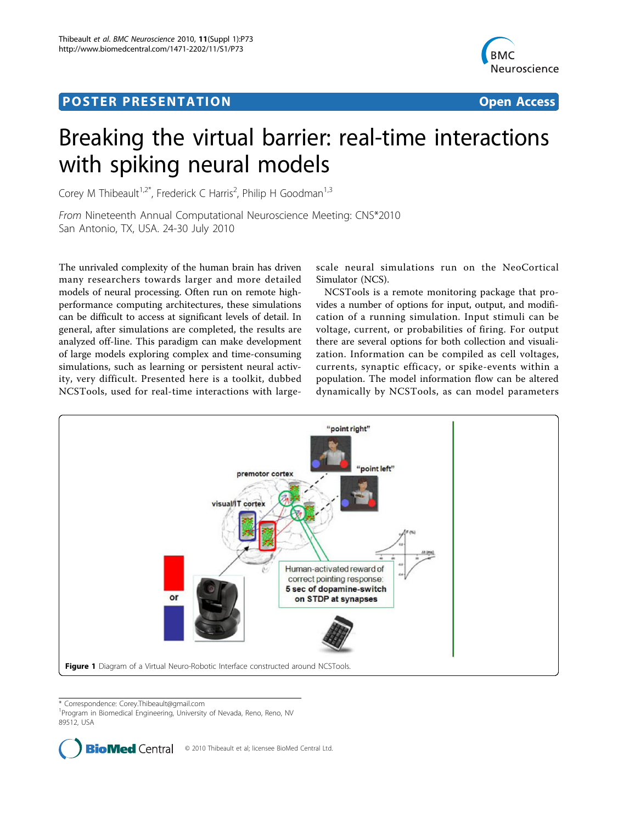## <span id="page-0-0"></span>Post Experimental Police in the St English Police in the St English Police in the St English Police in the St<br>Police in the St English Police in the St English Police in the St English Police in the St English Police in



## Breaking the virtual barrier: real-time interactions with spiking neural models

Corey M Thibeault<sup>1,2\*</sup>, Frederick C Harris<sup>2</sup>, Philip H Goodman<sup>1,3</sup>

From Nineteenth Annual Computational Neuroscience Meeting: CNS\*2010 San Antonio, TX, USA. 24-30 July 2010

The unrivaled complexity of the human brain has driven many researchers towards larger and more detailed models of neural processing. Often run on remote highperformance computing architectures, these simulations can be difficult to access at significant levels of detail. In general, after simulations are completed, the results are analyzed off-line. This paradigm can make development of large models exploring complex and time-consuming simulations, such as learning or persistent neural activity, very difficult. Presented here is a toolkit, dubbed NCSTools, used for real-time interactions with largescale neural simulations run on the NeoCortical Simulator (NCS).

NCSTools is a remote monitoring package that provides a number of options for input, output, and modification of a running simulation. Input stimuli can be voltage, current, or probabilities of firing. For output there are several options for both collection and visualization. Information can be compiled as cell voltages, currents, synaptic efficacy, or spike-events within a population. The model information flow can be altered dynamically by NCSTools, as can model parameters



\* Correspondence: [Corey.Thibeault@gmail.com](mailto:Corey.Thibeault@gmail.com)

<sup>1</sup> Program in Biomedical Engineering, University of Nevada, Reno, Reno, NV 89512, USA

> **BioMed Central** © 2010 Thibeault et al; licensee BioMed Central Ltd.